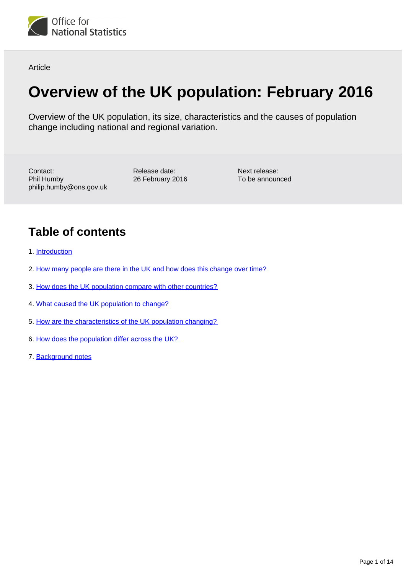

Article

# **Overview of the UK population: February 2016**

Overview of the UK population, its size, characteristics and the causes of population change including national and regional variation.

Contact: Phil Humby philip.humby@ons.gov.uk Release date: 26 February 2016

Next release: To be announced

## **Table of contents**

- 1. [Introduction](#page-1-0)
- 2. [How many people are there in the UK and how does this change over time?](#page-1-1)
- 3. [How does the UK population compare with other countries?](#page-2-0)
- 4. [What caused the UK population to change?](#page-3-0)
- 5. [How are the characteristics of the UK population changing?](#page-6-0)
- 6. [How does the population differ across the UK?](#page-11-0)
- 7. [Background notes](#page-13-0)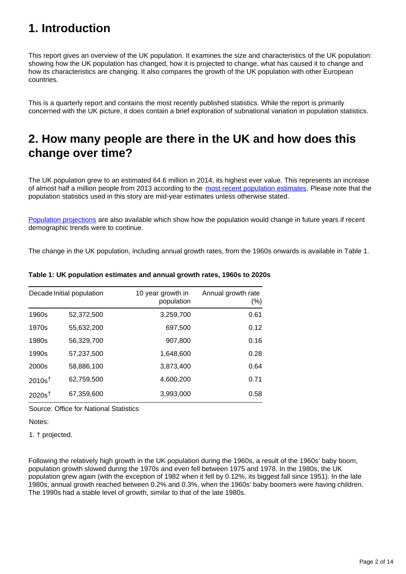## <span id="page-1-0"></span>**1. Introduction**

This report gives an overview of the UK population. It examines the size and characteristics of the UK population: showing how the UK population has changed, how it is projected to change, what has caused it to change and how its characteristics are changing. It also compares the growth of the UK population with other European countries.

This is a quarterly report and contains the most recently published statistics. While the report is primarily concerned with the UK picture, it does contain a brief exploration of subnational variation in population statistics.

### <span id="page-1-1"></span>**2. How many people are there in the UK and how does this change over time?**

The UK population grew to an estimated 64.6 million in 2014, its highest ever value. This represents an increase of almost half a million people from 2013 according to the [most recent population estimates.](http://www.ons.gov.uk/ons/rel/pop-estimate/population-estimates-for-uk--england-and-wales--scotland-and-northern-ireland/index.html) Please note that the population statistics used in this story are mid-year estimates unless otherwise stated.

[Population projections](http://www.ons.gov.uk/ons/rel/npp/national-population-projections/index.html) are also available which show how the population would change in future years if recent demographic trends were to continue.

The change in the UK population, including annual growth rates, from the 1960s onwards is available in Table 1.

| Decade Initial population |            | 10 year growth in<br>population | Annual growth rate<br>(%) |  |
|---------------------------|------------|---------------------------------|---------------------------|--|
| 1960s                     | 52,372,500 | 3,259,700                       | 0.61                      |  |
| 1970s                     | 55,632,200 | 697,500                         | 0.12                      |  |
| 1980s                     | 56,329,700 | 907,800                         | 0.16                      |  |
| 1990s                     | 57,237,500 | 1,648,600                       | 0.28                      |  |
| 2000s                     | 58,886,100 | 3,873,400                       | 0.64                      |  |
| 2010s <sup>†</sup>        | 62,759,500 | 4,600,200                       | 0.71                      |  |
| 2020s <sup>†</sup>        | 67,359,600 | 3,993,000                       | 0.58                      |  |

#### **Table 1: UK population estimates and annual growth rates, 1960s to 2020s**

Source: Office for National Statistics

Notes:

1. † projected.

Following the relatively high growth in the UK population during the 1960s, a result of the 1960s' baby boom, population growth slowed during the 1970s and even fell between 1975 and 1978. In the 1980s, the UK population grew again (with the exception of 1982 when it fell by 0.12%, its biggest fall since 1951). In the late 1980s, annual growth reached between 0.2% and 0.3%, when the 1960s' baby boomers were having children. The 1990s had a stable level of growth, similar to that of the late 1980s.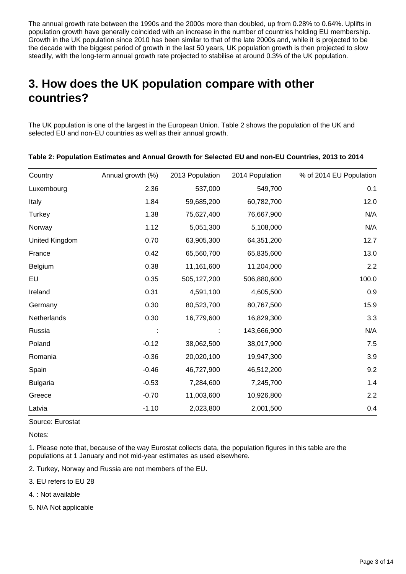The annual growth rate between the 1990s and the 2000s more than doubled, up from 0.28% to 0.64%. Uplifts in population growth have generally coincided with an increase in the number of countries holding EU membership. Growth in the UK population since 2010 has been similar to that of the late 2000s and, while it is projected to be the decade with the biggest period of growth in the last 50 years, UK population growth is then projected to slow steadily, with the long-term annual growth rate projected to stabilise at around 0.3% of the UK population.

## <span id="page-2-0"></span>**3. How does the UK population compare with other countries?**

The UK population is one of the largest in the European Union. Table 2 shows the population of the UK and selected EU and non-EU countries as well as their annual growth.

| Country         | Annual growth (%) | 2013 Population | 2014 Population | % of 2014 EU Population |
|-----------------|-------------------|-----------------|-----------------|-------------------------|
| Luxembourg      | 2.36              | 537,000         | 549,700         | 0.1                     |
| Italy           | 1.84              | 59,685,200      | 60,782,700      | 12.0                    |
| Turkey          | 1.38              | 75,627,400      | 76,667,900      | N/A                     |
| Norway          | 1.12              | 5,051,300       | 5,108,000       | N/A                     |
| United Kingdom  | 0.70              | 63,905,300      | 64,351,200      | 12.7                    |
| France          | 0.42              | 65,560,700      | 65,835,600      | 13.0                    |
| Belgium         | 0.38              | 11,161,600      | 11,204,000      | 2.2                     |
| EU              | 0.35              | 505,127,200     | 506,880,600     | 100.0                   |
| Ireland         | 0.31              | 4,591,100       | 4,605,500       | 0.9                     |
| Germany         | 0.30              | 80,523,700      | 80,767,500      | 15.9                    |
| Netherlands     | 0.30              | 16,779,600      | 16,829,300      | 3.3                     |
| Russia          |                   |                 | 143,666,900     | N/A                     |
| Poland          | $-0.12$           | 38,062,500      | 38,017,900      | 7.5                     |
| Romania         | $-0.36$           | 20,020,100      | 19,947,300      | 3.9                     |
| Spain           | $-0.46$           | 46,727,900      | 46,512,200      | 9.2                     |
| <b>Bulgaria</b> | $-0.53$           | 7,284,600       | 7,245,700       | 1.4                     |
| Greece          | $-0.70$           | 11,003,600      | 10,926,800      | 2.2                     |
| Latvia          | $-1.10$           | 2,023,800       | 2,001,500       | 0.4                     |

**Table 2: Population Estimates and Annual Growth for Selected EU and non-EU Countries, 2013 to 2014**

Source: Eurostat

Notes:

1. Please note that, because of the way Eurostat collects data, the population figures in this table are the populations at 1 January and not mid-year estimates as used elsewhere.

2. Turkey, Norway and Russia are not members of the EU.

- 3. EU refers to EU 28
- 4. : Not available
- 5. N/A Not applicable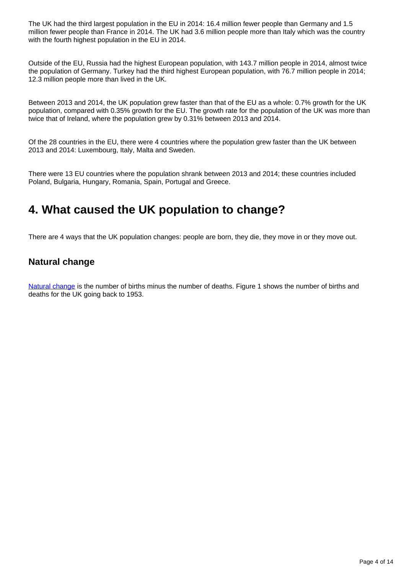The UK had the third largest population in the EU in 2014: 16.4 million fewer people than Germany and 1.5 million fewer people than France in 2014. The UK had 3.6 million people more than Italy which was the country with the fourth highest population in the EU in 2014.

Outside of the EU, Russia had the highest European population, with 143.7 million people in 2014, almost twice the population of Germany. Turkey had the third highest European population, with 76.7 million people in 2014; 12.3 million people more than lived in the UK.

Between 2013 and 2014, the UK population grew faster than that of the EU as a whole: 0.7% growth for the UK population, compared with 0.35% growth for the EU. The growth rate for the population of the UK was more than twice that of Ireland, where the population grew by 0.31% between 2013 and 2014.

Of the 28 countries in the EU, there were 4 countries where the population grew faster than the UK between 2013 and 2014: Luxembourg, Italy, Malta and Sweden.

There were 13 EU countries where the population shrank between 2013 and 2014; these countries included Poland, Bulgaria, Hungary, Romania, Spain, Portugal and Greece.

### <span id="page-3-0"></span>**4. What caused the UK population to change?**

There are 4 ways that the UK population changes: people are born, they die, they move in or they move out.

### **Natural change**

[Natural change](http://www.ons.gov.uk/ons/rel/vsob1/vital-statistics--population-and-health-reference-tables/index.html) is the number of births minus the number of deaths. Figure 1 shows the number of births and deaths for the UK going back to 1953.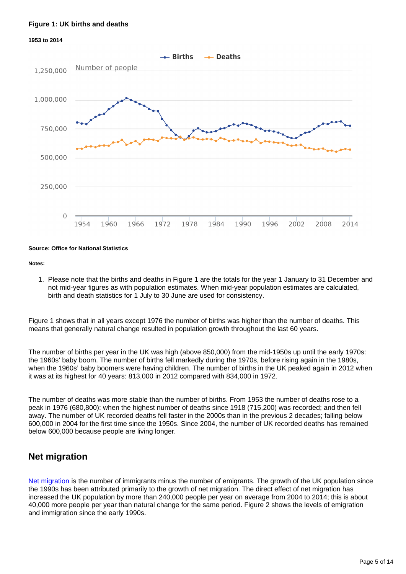#### **Figure 1: UK births and deaths**

#### **1953 to 2014**



#### **Source: Office for National Statistics**

#### **Notes:**

1. Please note that the births and deaths in Figure 1 are the totals for the year 1 January to 31 December and not mid-year figures as with population estimates. When mid-year population estimates are calculated, birth and death statistics for 1 July to 30 June are used for consistency.

Figure 1 shows that in all years except 1976 the number of births was higher than the number of deaths. This means that generally natural change resulted in population growth throughout the last 60 years.

The number of births per year in the UK was high (above 850,000) from the mid-1950s up until the early 1970s: the 1960s' baby boom. The number of births fell markedly during the 1970s, before rising again in the 1980s, when the 1960s' baby boomers were having children. The number of births in the UK peaked again in 2012 when it was at its highest for 40 years: 813,000 in 2012 compared with 834,000 in 1972.

The number of deaths was more stable than the number of births. From 1953 the number of deaths rose to a peak in 1976 (680,800): when the highest number of deaths since 1918 (715,200) was recorded; and then fell away. The number of UK recorded deaths fell faster in the 2000s than in the previous 2 decades; falling below 600,000 in 2004 for the first time since the 1950s. Since 2004, the number of UK recorded deaths has remained below 600,000 because people are living longer.

### **Net migration**

[Net migration](http://www.ons.gov.uk/ons/rel/migration1/migration-statistics-quarterly-report/index.html) is the number of immigrants minus the number of emigrants. The growth of the UK population since the 1990s has been attributed primarily to the growth of net migration. The direct effect of net migration has increased the UK population by more than 240,000 people per year on average from 2004 to 2014; this is about 40,000 more people per year than natural change for the same period. Figure 2 shows the levels of emigration and immigration since the early 1990s.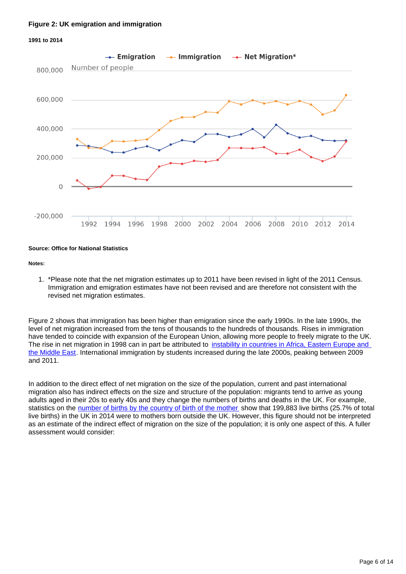#### **Figure 2: UK emigration and immigration**



#### **Source: Office for National Statistics**

#### **Notes:**

1. \*Please note that the net migration estimates up to 2011 have been revised in light of the 2011 Census. Immigration and emigration estimates have not been revised and are therefore not consistent with the revised net migration estimates.

Figure 2 shows that immigration has been higher than emigration since the early 1990s. In the late 1990s, the level of net migration increased from the tens of thousands to the hundreds of thousands. Rises in immigration have tended to coincide with expansion of the European Union, allowing more people to freely migrate to the UK. The rise in net migration in 1998 can in part be attributed to *instability in countries in Africa*, Eastern Europe and [the Middle East.](http://www.ons.gov.uk/ons/rel/census/2011-census-analysis/immigration-patterns-and-characteristics-of-non-uk-born-population-groups-in-england-and-wales/story-on-immigration-patterns-of-non-uk-born-populations-in-england-and-wales-in-2011.html) International immigration by students increased during the late 2000s, peaking between 2009 and 2011.

In addition to the direct effect of net migration on the size of the population, current and past international migration also has indirect effects on the size and structure of the population: migrants tend to arrive as young adults aged in their 20s to early 40s and they change the numbers of births and deaths in the UK. For example, statistics on the [number of births by the country of birth of the mother](http://www.ons.gov.uk/ons/rel/vsob1/parents--country-of-birth--england-and-wales/2014/stb-pcb-2014.html) show that 199,883 live births (25.7% of total live births) in the UK in 2014 were to mothers born outside the UK. However, this figure should not be interpreted as an estimate of the indirect effect of migration on the size of the population; it is only one aspect of this. A fuller assessment would consider: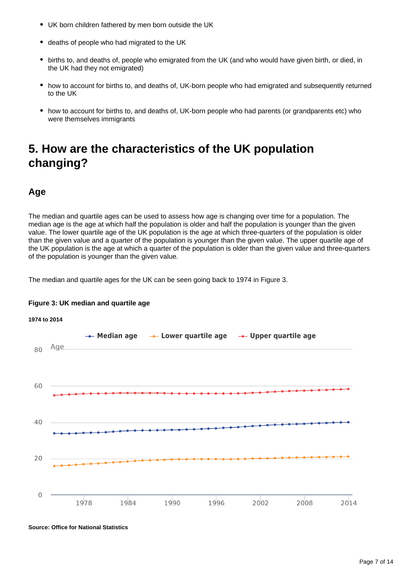- UK born children fathered by men born outside the UK
- deaths of people who had migrated to the UK
- births to, and deaths of, people who emigrated from the UK (and who would have given birth, or died, in the UK had they not emigrated)
- how to account for births to, and deaths of, UK-born people who had emigrated and subsequently returned to the UK
- how to account for births to, and deaths of, UK-born people who had parents (or grandparents etc) who were themselves immigrants

## <span id="page-6-0"></span>**5. How are the characteristics of the UK population changing?**

### **Age**

The median and quartile ages can be used to assess how age is changing over time for a population. The median age is the age at which half the population is older and half the population is younger than the given value. The lower quartile age of the UK population is the age at which three-quarters of the population is older than the given value and a quarter of the population is younger than the given value. The upper quartile age of the UK population is the age at which a quarter of the population is older than the given value and three-quarters of the population is younger than the given value.

The median and quartile ages for the UK can be seen going back to 1974 in Figure 3.



### **Figure 3: UK median and quartile age**

**Source: Office for National Statistics**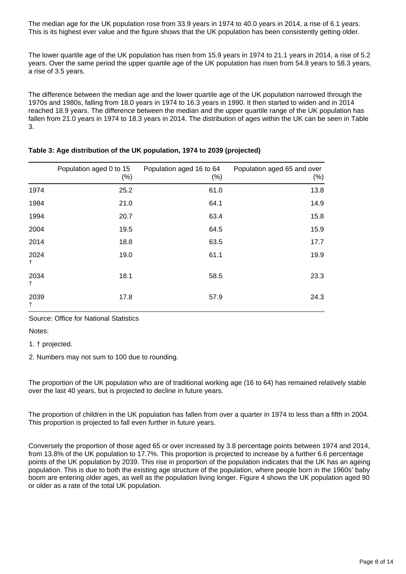The median age for the UK population rose from 33.9 years in 1974 to 40.0 years in 2014, a rise of 6.1 years. This is its highest ever value and the figure shows that the UK population has been consistently getting older.

The lower quartile age of the UK population has risen from 15.9 years in 1974 to 21.1 years in 2014, a rise of 5.2 years. Over the same period the upper quartile age of the UK population has risen from 54.8 years to 58.3 years, a rise of 3.5 years.

The difference between the median age and the lower quartile age of the UK population narrowed through the 1970s and 1980s, falling from 18.0 years in 1974 to 16.3 years in 1990. It then started to widen and in 2014 reached 18.9 years. The difference between the median and the upper quartile range of the UK population has fallen from 21.0 years in 1974 to 18.3 years in 2014. The distribution of ages within the UK can be seen in Table 3.

|                    | Population aged 0 to 15<br>$(\%)$ | Population aged 16 to 64<br>$(\% )$ | Population aged 65 and over<br>$(\%)$ |
|--------------------|-----------------------------------|-------------------------------------|---------------------------------------|
| 1974               | 25.2                              | 61.0                                | 13.8                                  |
| 1984               | 21.0                              | 64.1                                | 14.9                                  |
| 1994               | 20.7                              | 63.4                                | 15.8                                  |
| 2004               | 19.5                              | 64.5                                | 15.9                                  |
| 2014               | 18.8                              | 63.5                                | 17.7                                  |
| 2024<br>$^\dagger$ | 19.0                              | 61.1                                | 19.9                                  |
| 2034<br>t          | 18.1                              | 58.5                                | 23.3                                  |
| 2039<br>t          | 17.8                              | 57.9                                | 24.3                                  |

#### **Table 3: Age distribution of the UK population, 1974 to 2039 (projected)**

Source: Office for National Statistics

Notes:

1. † projected.

2. Numbers may not sum to 100 due to rounding.

The proportion of the UK population who are of traditional working age (16 to 64) has remained relatively stable over the last 40 years, but is projected to decline in future years.

The proportion of children in the UK population has fallen from over a quarter in 1974 to less than a fifth in 2004. This proportion is projected to fall even further in future years.

Conversely the proportion of those aged 65 or over increased by 3.8 percentage points between 1974 and 2014, from 13.8% of the UK population to 17.7%. This proportion is projected to increase by a further 6.6 percentage points of the UK population by 2039. This rise in proportion of the population indicates that the UK has an ageing population. This is due to both the existing age structure of the population, where people born in the 1960s' baby boom are entering older ages, as well as the population living longer. Figure 4 shows the UK population aged 90 or older as a rate of the total UK population.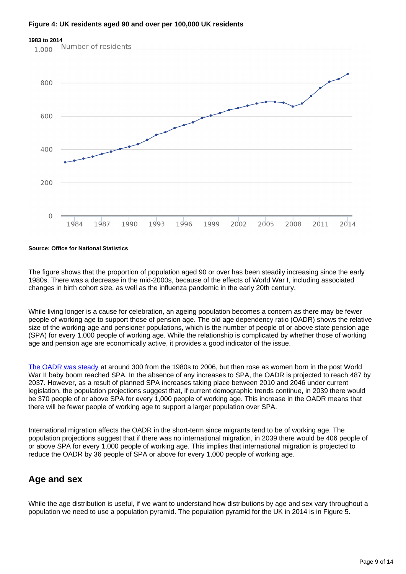

#### **Figure 4: UK residents aged 90 and over per 100,000 UK residents**

#### **Source: Office for National Statistics**

The figure shows that the proportion of population aged 90 or over has been steadily increasing since the early 1980s. There was a decrease in the mid-2000s, because of the effects of World War I, including associated changes in birth cohort size, as well as the influenza pandemic in the early 20th century.

While living longer is a cause for celebration, an ageing population becomes a concern as there may be fewer people of working age to support those of pension age. The old age dependency ratio (OADR) shows the relative size of the working-age and pensioner populations, which is the number of people of or above state pension age (SPA) for every 1,000 people of working age. While the relationship is complicated by whether those of working age and pension age are economically active, it provides a good indicator of the issue.

[The OADR was steady](http://visual.ons.gov.uk/uk-perspectives-the-changing-population/) at around 300 from the 1980s to 2006, but then rose as women born in the post World War II baby boom reached SPA. In the absence of any increases to SPA, the OADR is projected to reach 487 by 2037. However, as a result of planned SPA increases taking place between 2010 and 2046 under current legislation, the population projections suggest that, if current demographic trends continue, in 2039 there would be 370 people of or above SPA for every 1,000 people of working age. This increase in the OADR means that there will be fewer people of working age to support a larger population over SPA.

International migration affects the OADR in the short-term since migrants tend to be of working age. The population projections suggest that if there was no international migration, in 2039 there would be 406 people of or above SPA for every 1,000 people of working age. This implies that international migration is projected to reduce the OADR by 36 people of SPA or above for every 1,000 people of working age.

### **Age and sex**

While the age distribution is useful, if we want to understand how distributions by age and sex vary throughout a population we need to use a population pyramid. The population pyramid for the UK in 2014 is in Figure 5.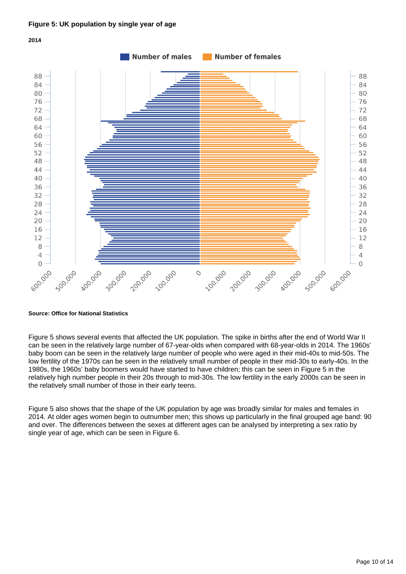

**Source: Office for National Statistics**

Figure 5 shows several events that affected the UK population. The spike in births after the end of World War II can be seen in the relatively large number of 67-year-olds when compared with 68-year-olds in 2014. The 1960s' baby boom can be seen in the relatively large number of people who were aged in their mid-40s to mid-50s. The low fertility of the 1970s can be seen in the relatively small number of people in their mid-30s to early-40s. In the 1980s, the 1960s' baby boomers would have started to have children; this can be seen in Figure 5 in the relatively high number people in their 20s through to mid-30s. The low fertility in the early 2000s can be seen in the relatively small number of those in their early teens.

Figure 5 also shows that the shape of the UK population by age was broadly similar for males and females in 2014. At older ages women begin to outnumber men; this shows up particularly in the final grouped age band: 90 and over. The differences between the sexes at different ages can be analysed by interpreting a sex ratio by single year of age, which can be seen in Figure 6.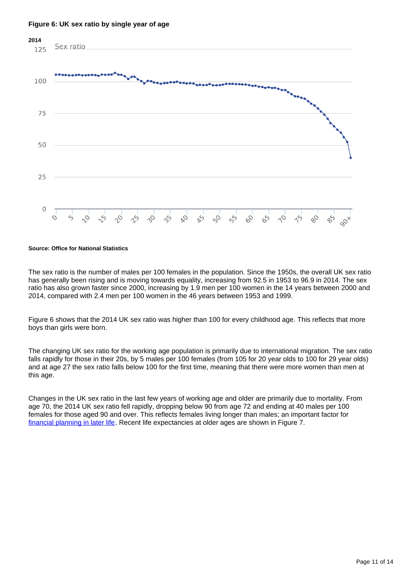

#### **Figure 6: UK sex ratio by single year of age**

#### **Source: Office for National Statistics**

The sex ratio is the number of males per 100 females in the population. Since the 1950s, the overall UK sex ratio has generally been rising and is moving towards equality, increasing from 92.5 in 1953 to 96.9 in 2014. The sex ratio has also grown faster since 2000, increasing by 1.9 men per 100 women in the 14 years between 2000 and 2014, compared with 2.4 men per 100 women in the 46 years between 1953 and 1999.

Figure 6 shows that the 2014 UK sex ratio was higher than 100 for every childhood age. This reflects that more boys than girls were born.

The changing UK sex ratio for the working age population is primarily due to international migration. The sex ratio falls rapidly for those in their 20s, by 5 males per 100 females (from 105 for 20 year olds to 100 for 29 year olds) and at age 27 the sex ratio falls below 100 for the first time, meaning that there were more women than men at this age.

Changes in the UK sex ratio in the last few years of working age and older are primarily due to mortality. From age 70, the 2014 UK sex ratio fell rapidly, dropping below 90 from age 72 and ending at 40 males per 100 females for those aged 90 and over. This reflects females living longer than males; an important factor for [financial planning in later life.](http://visual.ons.gov.uk/how-long-will-my-pension-need-to-last/) Recent life expectancies at older ages are shown in Figure 7.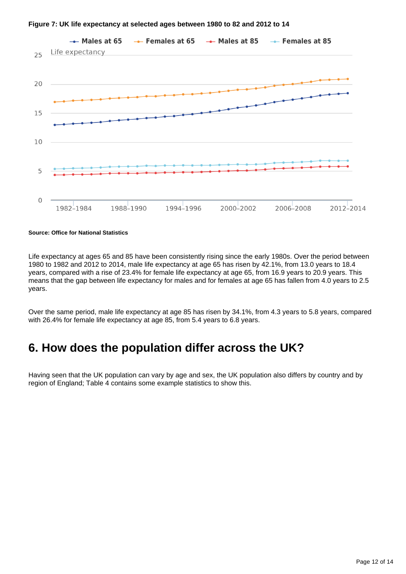

#### **Figure 7: UK life expectancy at selected ages between 1980 to 82 and 2012 to 14**

**Source: Office for National Statistics**

Life expectancy at ages 65 and 85 have been consistently rising since the early 1980s. Over the period between 1980 to 1982 and 2012 to 2014, male life expectancy at age 65 has risen by 42.1%, from 13.0 years to 18.4 years, compared with a rise of 23.4% for female life expectancy at age 65, from 16.9 years to 20.9 years. This means that the gap between life expectancy for males and for females at age 65 has fallen from 4.0 years to 2.5 years.

Over the same period, male life expectancy at age 85 has risen by 34.1%, from 4.3 years to 5.8 years, compared with 26.4% for female life expectancy at age 85, from 5.4 years to 6.8 years.

### <span id="page-11-0"></span>**6. How does the population differ across the UK?**

Having seen that the UK population can vary by age and sex, the UK population also differs by country and by region of England; Table 4 contains some example statistics to show this.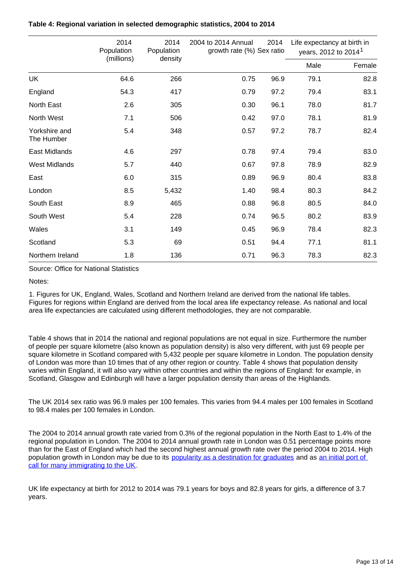|                             | 2014<br>Population<br>(millions) | 2014<br>Population<br>density | 2014<br>2004 to 2014 Annual<br>growth rate (%) Sex ratio |      | Life expectancy at birth in<br>years, 2012 to 2014 <sup>1</sup> |        |
|-----------------------------|----------------------------------|-------------------------------|----------------------------------------------------------|------|-----------------------------------------------------------------|--------|
|                             |                                  |                               |                                                          |      | Male                                                            | Female |
| UK                          | 64.6                             | 266                           | 0.75                                                     | 96.9 | 79.1                                                            | 82.8   |
| England                     | 54.3                             | 417                           | 0.79                                                     | 97.2 | 79.4                                                            | 83.1   |
| North East                  | 2.6                              | 305                           | 0.30                                                     | 96.1 | 78.0                                                            | 81.7   |
| North West                  | 7.1                              | 506                           | 0.42                                                     | 97.0 | 78.1                                                            | 81.9   |
| Yorkshire and<br>The Humber | 5.4                              | 348                           | 0.57                                                     | 97.2 | 78.7                                                            | 82.4   |
| East Midlands               | 4.6                              | 297                           | 0.78                                                     | 97.4 | 79.4                                                            | 83.0   |
| <b>West Midlands</b>        | 5.7                              | 440                           | 0.67                                                     | 97.8 | 78.9                                                            | 82.9   |
| East                        | 6.0                              | 315                           | 0.89                                                     | 96.9 | 80.4                                                            | 83.8   |
| London                      | 8.5                              | 5,432                         | 1.40                                                     | 98.4 | 80.3                                                            | 84.2   |
| South East                  | 8.9                              | 465                           | 0.88                                                     | 96.8 | 80.5                                                            | 84.0   |
| South West                  | 5.4                              | 228                           | 0.74                                                     | 96.5 | 80.2                                                            | 83.9   |
| Wales                       | 3.1                              | 149                           | 0.45                                                     | 96.9 | 78.4                                                            | 82.3   |
| Scotland                    | 5.3                              | 69                            | 0.51                                                     | 94.4 | 77.1                                                            | 81.1   |
| Northern Ireland            | 1.8                              | 136                           | 0.71                                                     | 96.3 | 78.3                                                            | 82.3   |

#### **Table 4: Regional variation in selected demographic statistics, 2004 to 2014**

Source: Office for National Statistics

Notes:

1. Figures for UK, England, Wales, Scotland and Northern Ireland are derived from the national life tables. Figures for regions within England are derived from the local area life expectancy release. As national and local area life expectancies are calculated using different methodologies, they are not comparable.

Table 4 shows that in 2014 the national and regional populations are not equal in size. Furthermore the number of people per square kilometre (also known as population density) is also very different, with just 69 people per square kilometre in Scotland compared with 5,432 people per square kilometre in London. The population density of London was more than 10 times that of any other region or country. Table 4 shows that population density varies within England, it will also vary within other countries and within the regions of England: for example, in Scotland, Glasgow and Edinburgh will have a larger population density than areas of the Highlands.

The UK 2014 sex ratio was 96.9 males per 100 females. This varies from 94.4 males per 100 females in Scotland to 98.4 males per 100 females in London.

The 2004 to 2014 annual growth rate varied from 0.3% of the regional population in the North East to 1.4% of the regional population in London. The 2004 to 2014 annual growth rate in London was 0.51 percentage points more than for the East of England which had the second highest annual growth rate over the period 2004 to 2014. High population growth in London may be due to its [popularity as a destination for graduates](http://www.ons.gov.uk/ons/rel/migration1/internal-migration-by-local-authorities-in-england-and-wales/year-ending-june-2013/sty-2---focus-on-london-moves.html) and as an initial port of [call for many immigrating to the UK](http://www.ons.gov.uk/ons/rel/migration1/migration-statistics-quarterly-report/november-2014/info-citizenship-by-area.html).

UK life expectancy at birth for 2012 to 2014 was 79.1 years for boys and 82.8 years for girls, a difference of 3.7 years.